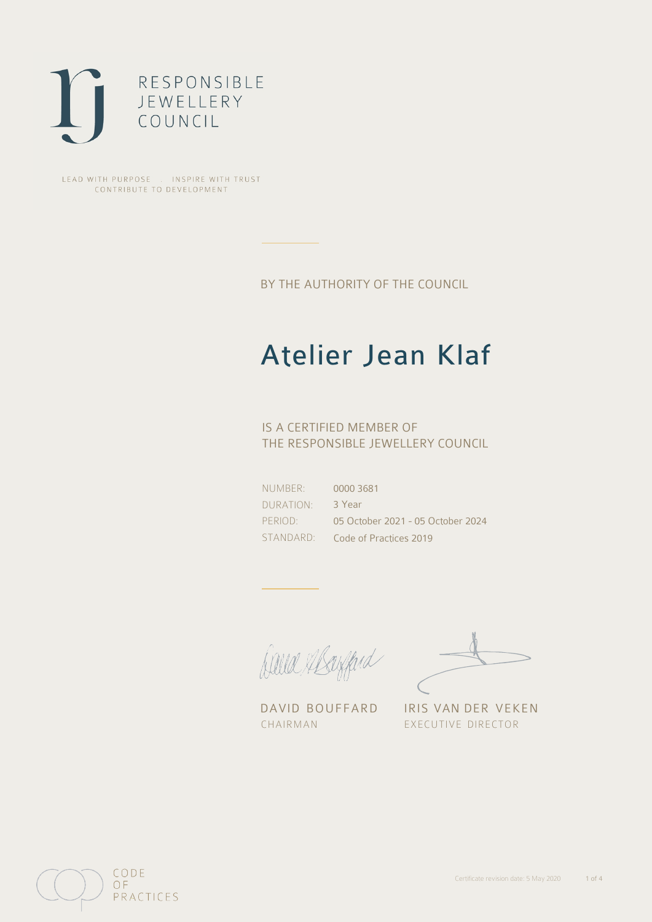

LEAD WITH PURPOSE . INSPIRE WITH TRUST CONTRIBUTE TO DEVELOPMENT

BY THE AUTHORITY OF THE COUNCIL

# Atelier Jean Klaf

## IS A CERTIFIED MEMBER OF THE RESPONSIBLE JEWELLERY COUNCIL

NUMBER: DURATION: PERIOD: STANDARD: 0000 3681 3 Year 05 October 2021 - 05 October 2024 Code of Practices 2019

Caux Margaret

DAVID BOUFFARD IRIS VAN DER VEKEN CHAIRMAN EXECUTIVE DIRECTOR

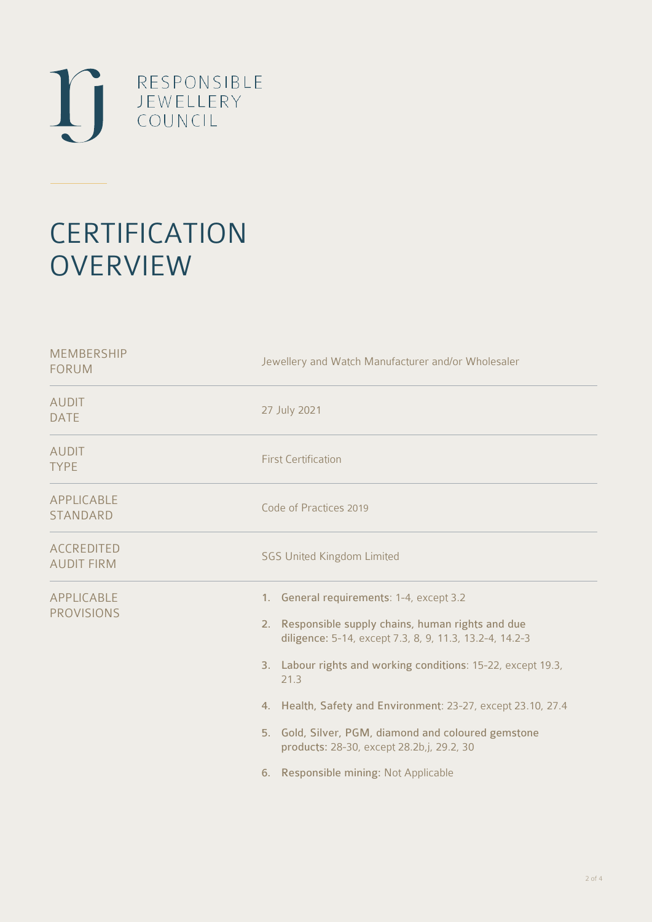

# **CERTIFICATION OVERVIEW**

| Jewellery and Watch Manufacturer and/or Wholesaler                                                                                                                                                                                                                                                                                                                                                                                                |  |  |
|---------------------------------------------------------------------------------------------------------------------------------------------------------------------------------------------------------------------------------------------------------------------------------------------------------------------------------------------------------------------------------------------------------------------------------------------------|--|--|
| 27 July 2021                                                                                                                                                                                                                                                                                                                                                                                                                                      |  |  |
| <b>First Certification</b>                                                                                                                                                                                                                                                                                                                                                                                                                        |  |  |
| Code of Practices 2019                                                                                                                                                                                                                                                                                                                                                                                                                            |  |  |
| <b>SGS United Kingdom Limited</b>                                                                                                                                                                                                                                                                                                                                                                                                                 |  |  |
| 1. General requirements: 1-4, except 3.2<br>2. Responsible supply chains, human rights and due<br>diligence: 5-14, except 7.3, 8, 9, 11.3, 13.2-4, 14.2-3<br>3. Labour rights and working conditions: 15-22, except 19.3,<br>21.3<br>4. Health, Safety and Environment: 23-27, except 23.10, 27.4<br>5. Gold, Silver, PGM, diamond and coloured gemstone<br>products: 28-30, except 28.2b,j, 29.2, 30<br>Responsible mining: Not Applicable<br>6. |  |  |
|                                                                                                                                                                                                                                                                                                                                                                                                                                                   |  |  |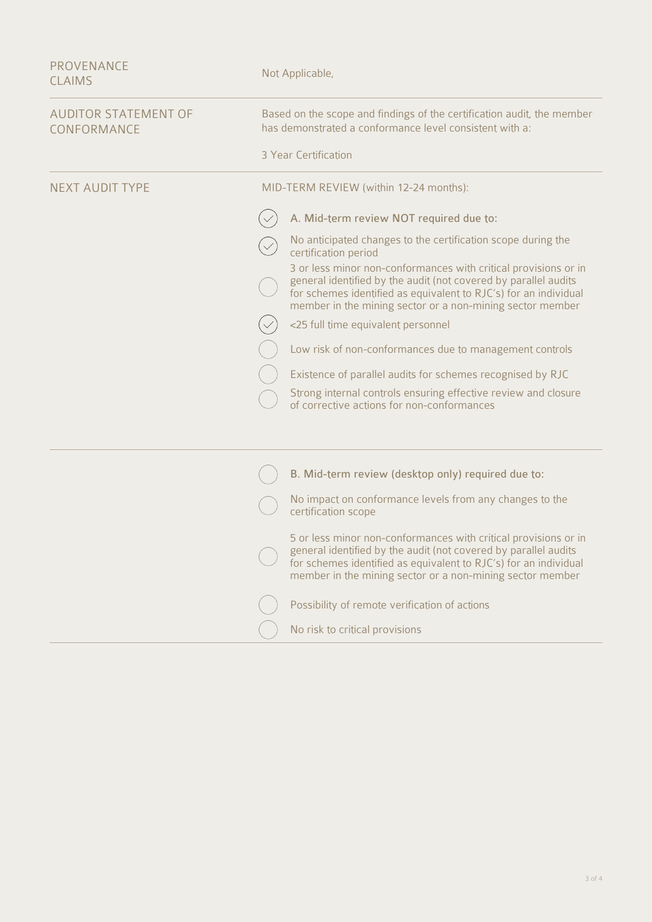| <b>PROVENANCE</b><br><b>CLAIMS</b>         | Not Applicable,                                                                                                                                                                                                                                                     |  |
|--------------------------------------------|---------------------------------------------------------------------------------------------------------------------------------------------------------------------------------------------------------------------------------------------------------------------|--|
| <b>AUDITOR STATEMENT OF</b><br>CONFORMANCE | Based on the scope and findings of the certification audit, the member<br>has demonstrated a conformance level consistent with a:                                                                                                                                   |  |
|                                            | 3 Year Certification                                                                                                                                                                                                                                                |  |
| <b>NEXT AUDIT TYPE</b>                     | MID-TERM REVIEW (within 12-24 months):                                                                                                                                                                                                                              |  |
|                                            | A. Mid-term review NOT required due to:                                                                                                                                                                                                                             |  |
|                                            | No anticipated changes to the certification scope during the<br>certification period                                                                                                                                                                                |  |
|                                            | 3 or less minor non-conformances with critical provisions or in<br>general identified by the audit (not covered by parallel audits<br>for schemes identified as equivalent to RJC's) for an individual<br>member in the mining sector or a non-mining sector member |  |
|                                            | <25 full time equivalent personnel                                                                                                                                                                                                                                  |  |
|                                            | Low risk of non-conformances due to management controls                                                                                                                                                                                                             |  |
|                                            | Existence of parallel audits for schemes recognised by RJC                                                                                                                                                                                                          |  |
|                                            | Strong internal controls ensuring effective review and closure<br>of corrective actions for non-conformances                                                                                                                                                        |  |
|                                            |                                                                                                                                                                                                                                                                     |  |
|                                            | B. Mid-term review (desktop only) required due to:                                                                                                                                                                                                                  |  |
|                                            | No impact on conformance levels from any changes to the<br>certification scope                                                                                                                                                                                      |  |
|                                            | 5 or less minor non-conformances with critical provisions or in<br>general identified by the audit (not covered by parallel audits<br>for schemes identified as equivalent to RJC's) for an individual<br>member in the mining sector or a non-mining sector member |  |
|                                            | Possibility of remote verification of actions                                                                                                                                                                                                                       |  |
|                                            | No risk to critical provisions                                                                                                                                                                                                                                      |  |